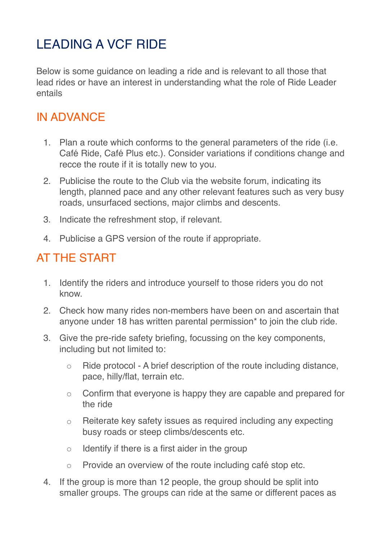## LEADING A VCF RIDE

Below is some guidance on leading a ride and is relevant to all those that lead rides or have an interest in understanding what the role of Ride Leader entails

## IN ADVANCE

- 1. Plan a route which conforms to the general parameters of the ride (i.e. Café Ride, Café Plus etc.). Consider variations if conditions change and recce the route if it is totally new to you.
- 2. Publicise the route to the Club via the website forum, indicating its length, planned pace and any other relevant features such as very busy roads, unsurfaced sections, major climbs and descents.
- 3. Indicate the refreshment stop, if relevant.
- 4. Publicise a GPS version of the route if appropriate.

## AT THE START

- 1. Identify the riders and introduce yourself to those riders you do not know.
- 2. Check how many rides non-members have been on and ascertain that anyone under 18 has written parental permission\* to join the club ride.
- 3. Give the pre-ride safety briefing, focussing on the key components, including but not limited to:
	- Ride protocol A brief description of the route including distance, pace, hilly/flat, terrain etc.
	- Confirm that everyone is happy they are capable and prepared for the ride
	- Reiterate key safety issues as required including any expecting busy roads or steep climbs/descents etc.
	- $\circ$  Identify if there is a first aider in the group
	- Provide an overview of the route including café stop etc.
- 4. If the group is more than 12 people, the group should be split into smaller groups. The groups can ride at the same or different paces as